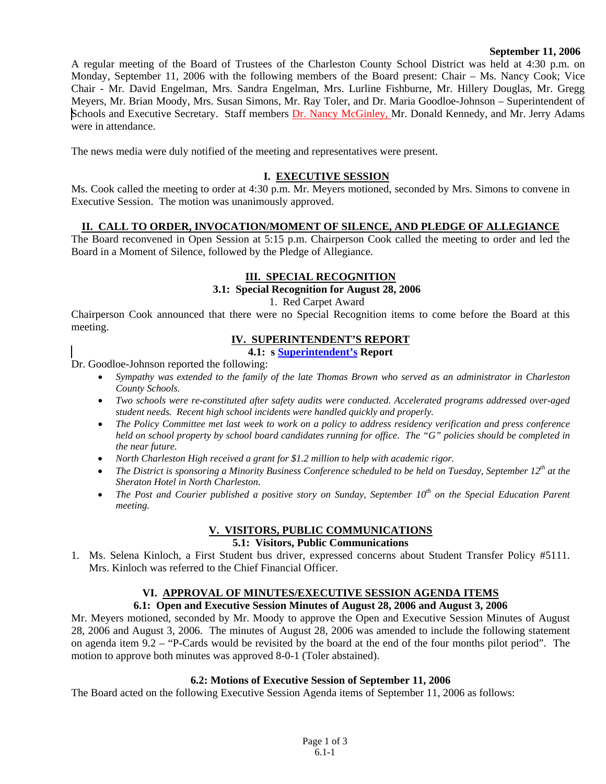#### **September 11, 2006**

A regular meeting of the Board of Trustees of the Charleston County School District was held at 4:30 p.m. on Monday, September 11, 2006 with the following members of the Board present: Chair – Ms. Nancy Cook; Vice Chair - Mr. David Engelman, Mrs. Sandra Engelman, Mrs. Lurline Fishburne, Mr. Hillery Douglas, Mr. Gregg Meyers, Mr. Brian Moody, Mrs. Susan Simons, Mr. Ray Toler, and Dr. Maria Goodloe-Johnson – Superintendent of Schools and Executive Secretary. Staff members Dr. Nancy McGinley, Mr. Donald Kennedy, and Mr. Jerry Adams were in attendance.

The news media were duly notified of the meeting and representatives were present.

# **I. EXECUTIVE SESSION**

Ms. Cook called the meeting to order at 4:30 p.m. Mr. Meyers motioned, seconded by Mrs. Simons to convene in Executive Session. The motion was unanimously approved.

# **II. CALL TO ORDER, INVOCATION/MOMENT OF SILENCE, AND PLEDGE OF ALLEGIANCE**

The Board reconvened in Open Session at 5:15 p.m. Chairperson Cook called the meeting to order and led the Board in a Moment of Silence, followed by the Pledge of Allegiance.

# **III. SPECIAL RECOGNITION**

# **3.1: Special Recognition for August 28, 2006**

1. Red Carpet Award

Chairperson Cook announced that there were no Special Recognition items to come before the Board at this meeting.

#### **IV. SUPERINTENDENT'S REPORT**

**4.1: s Superintendent's Report** 

Dr. Goodloe-Johnson reported the following:

- *Sympathy was extended to the family of the late Thomas Brown who served as an administrator in Charleston County Schools.*
- *Two schools were re-constituted after safety audits were conducted. Accelerated programs addressed over-aged student needs. Recent high school incidents were handled quickly and properly.*
- *The Policy Committee met last week to work on a policy to address residency verification and press conference held on school property by school board candidates running for office. The "G" policies should be completed in the near future.*
- *North Charleston High received a grant for \$1.2 million to help with academic rigor.*
- *The District is sponsoring a Minority Business Conference scheduled to be held on Tuesday, September 12<sup>th</sup> at the Sheraton Hotel in North Charleston.*
- *The Post and Courier published a positive story on Sunday, September 10<sup>th</sup> on the Special Education Parent meeting.*

# **V. VISITORS, PUBLIC COMMUNICATIONS**

#### **5.1: Visitors, Public Communications**

1. Ms. Selena Kinloch, a First Student bus driver, expressed concerns about Student Transfer Policy #5111. Mrs. Kinloch was referred to the Chief Financial Officer.

# **VI. APPROVAL OF MINUTES/EXECUTIVE SESSION AGENDA ITEMS**

# **6.1: Open and Executive Session Minutes of August 28, 2006 and August 3, 2006**

Mr. Meyers motioned, seconded by Mr. Moody to approve the Open and Executive Session Minutes of August 28, 2006 and August 3, 2006. The minutes of August 28, 2006 was amended to include the following statement on agenda item 9.2 – "P-Cards would be revisited by the board at the end of the four months pilot period". The motion to approve both minutes was approved 8-0-1 (Toler abstained).

#### **6.2: Motions of Executive Session of September 11, 2006**

The Board acted on the following Executive Session Agenda items of September 11, 2006 as follows: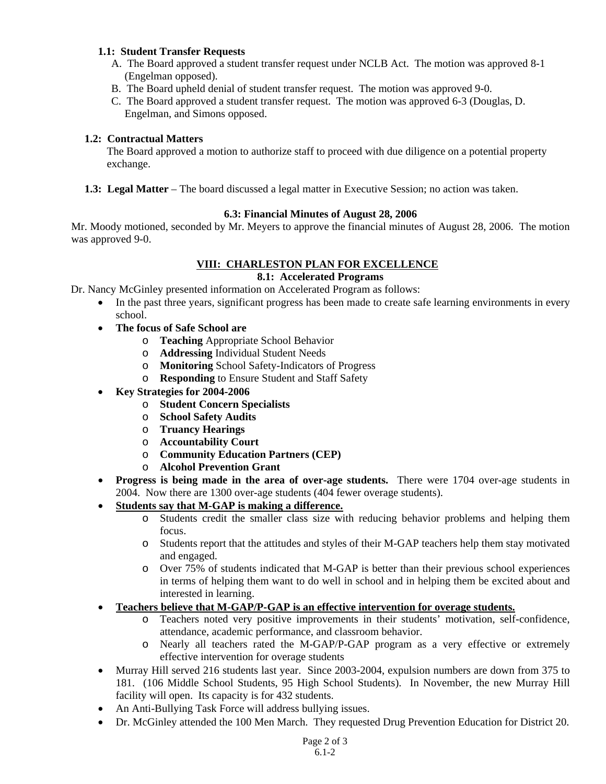# **1.1: Student Transfer Requests**

- A. The Board approved a student transfer request under NCLB Act. The motion was approved 8-1 (Engelman opposed).
- B. The Board upheld denial of student transfer request. The motion was approved 9-0.
- C. The Board approved a student transfer request. The motion was approved 6-3 (Douglas, D. Engelman, and Simons opposed.

# **1.2: Contractual Matters**

 The Board approved a motion to authorize staff to proceed with due diligence on a potential property exchange.

**1.3: Legal Matter** – The board discussed a legal matter in Executive Session; no action was taken.

# **6.3: Financial Minutes of August 28, 2006**

Mr. Moody motioned, seconded by Mr. Meyers to approve the financial minutes of August 28, 2006. The motion was approved 9-0.

# **VIII: CHARLESTON PLAN FOR EXCELLENCE**

### **8.1: Accelerated Programs**

Dr. Nancy McGinley presented information on Accelerated Program as follows:

- In the past three years, significant progress has been made to create safe learning environments in every school.
- **The focus of Safe School are** 
	- o **Teaching** Appropriate School Behavior
	- o **Addressing** Individual Student Needs
	- o **Monitoring** School Safety-Indicators of Progress
	- o **Responding** to Ensure Student and Staff Safety
- **Key Strategies for 2004-2006** 
	- o **Student Concern Specialists**
	- o **School Safety Audits**
	- o **Truancy Hearings**
	- o **Accountability Court**
	- o **Community Education Partners (CEP)**
	- o **Alcohol Prevention Grant**
- **Progress is being made in the area of over-age students.** There were 1704 over-age students in 2004. Now there are 1300 over-age students (404 fewer overage students).
- **Students say that M-GAP is making a difference.**
	- o Students credit the smaller class size with reducing behavior problems and helping them focus.
	- o Students report that the attitudes and styles of their M-GAP teachers help them stay motivated and engaged.
	- o Over 75% of students indicated that M-GAP is better than their previous school experiences in terms of helping them want to do well in school and in helping them be excited about and interested in learning.
- **Teachers believe that M-GAP/P-GAP is an effective intervention for overage students.**
	- o Teachers noted very positive improvements in their students' motivation, self-confidence, attendance, academic performance, and classroom behavior.
	- o Nearly all teachers rated the M-GAP/P-GAP program as a very effective or extremely effective intervention for overage students
- Murray Hill served 216 students last year. Since 2003-2004, expulsion numbers are down from 375 to 181. (106 Middle School Students, 95 High School Students). In November, the new Murray Hill facility will open. Its capacity is for 432 students.
- An Anti-Bullying Task Force will address bullying issues.
- Dr. McGinley attended the 100 Men March. They requested Drug Prevention Education for District 20.